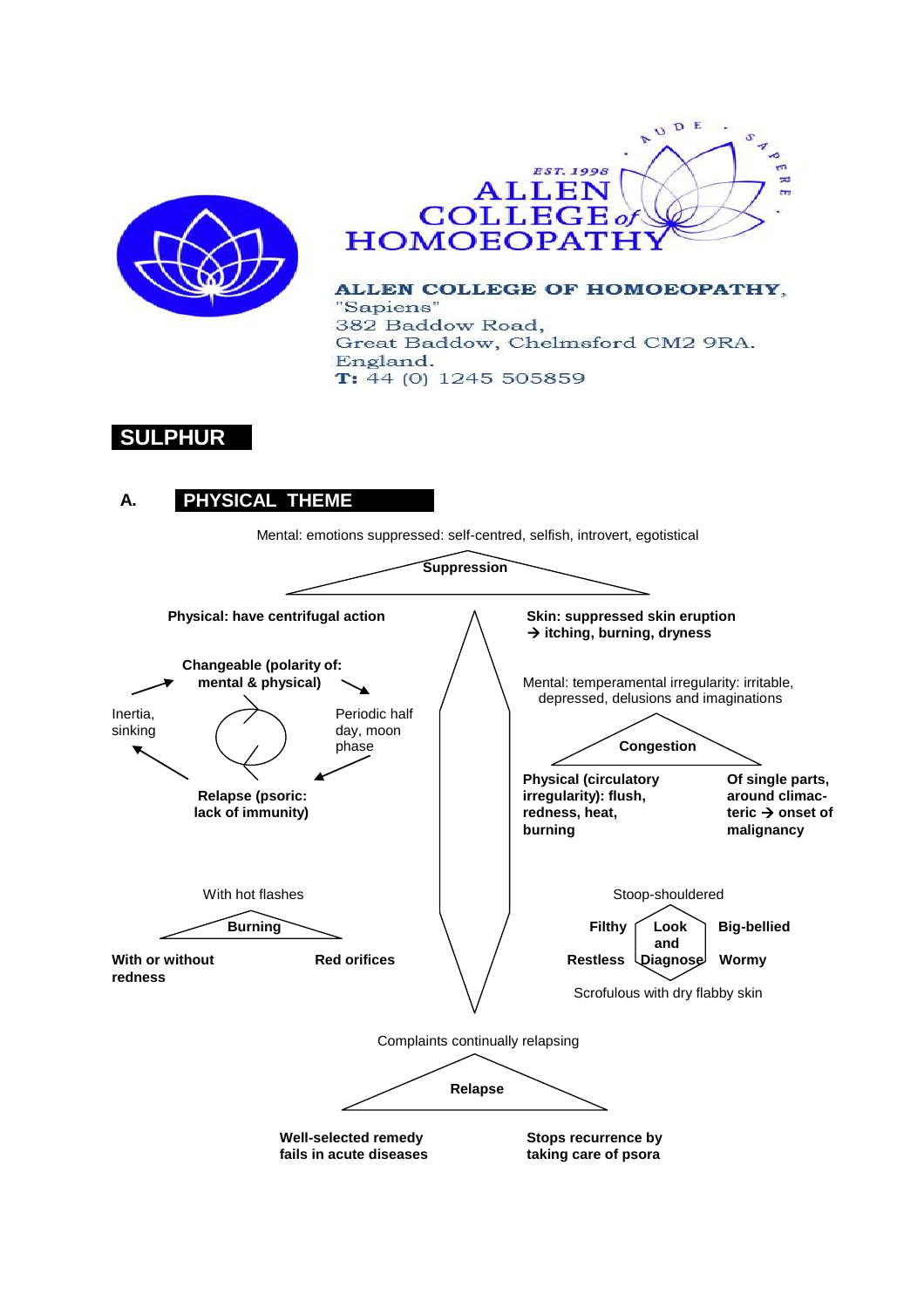



ALLEN COLLEGE OF HOMOEOPATHY, "Sapiens" 382 Baddow Road, Great Baddow, Chelmsford CM2 9RA. England.  $T: 44(0)$  1245 505859

# **SULPHUR**

# **A. PHYSICAL THEME**

Mental: emotions suppressed: self-centred, selfish, introvert, egotistical

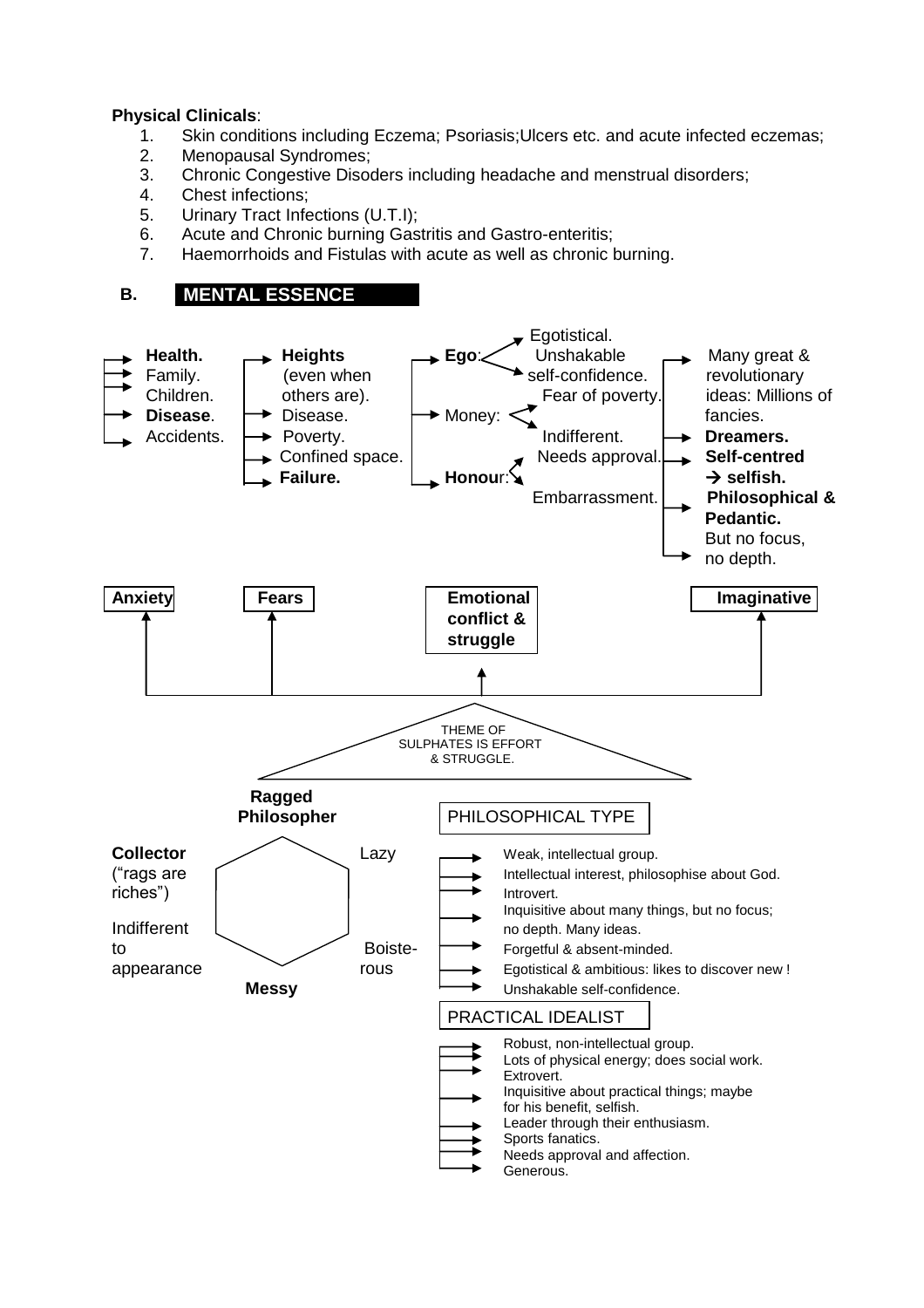### **Physical Clinicals**:

- 1. Skin conditions including Eczema; Psoriasis;Ulcers etc. and acute infected eczemas;
- 2. Menopausal Syndromes;
- 3. Chronic Congestive Disoders including headache and menstrual disorders;
- 4. Chest infections;
- 5. Urinary Tract Infections (U.T.I);
- 6. Acute and Chronic burning Gastritis and Gastro-enteritis;
- 7. Haemorrhoids and Fistulas with acute as well as chronic burning.

## **B. MENTAL ESSENCE**

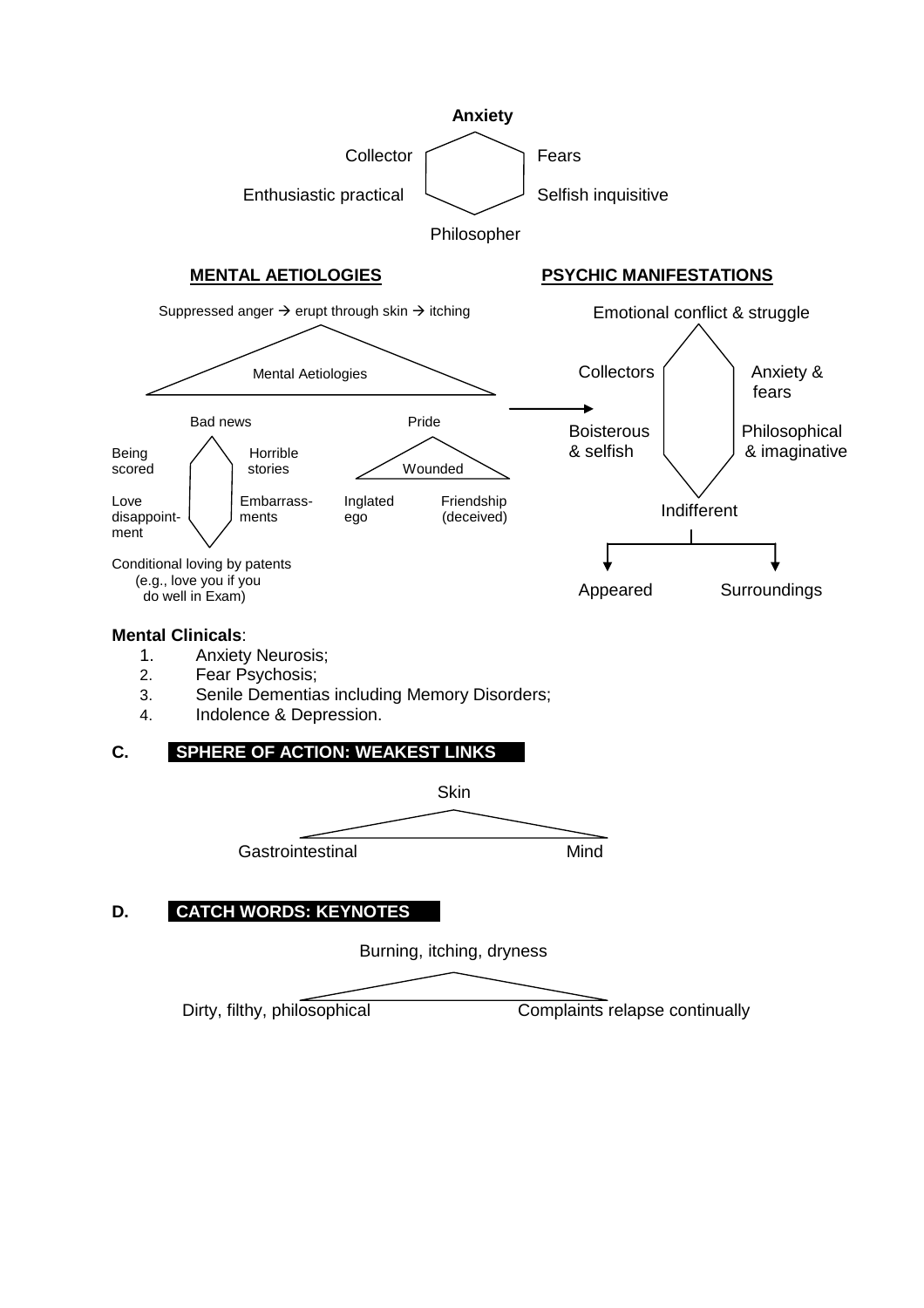

Dirty, filthy, philosophical Complaints relapse continually